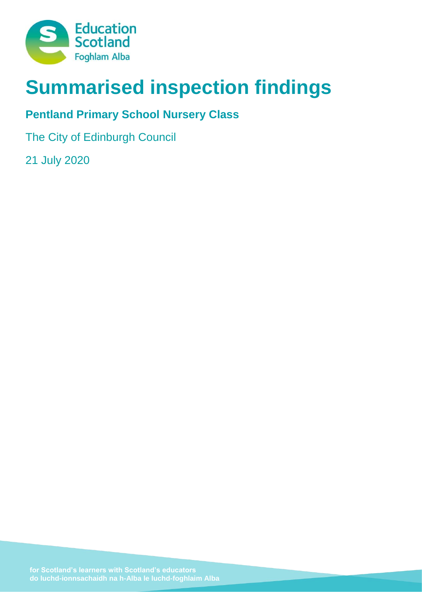

# **Summarised inspection findings**

## **Pentland Primary School Nursery Class**

The City of Edinburgh Council

21 July 2020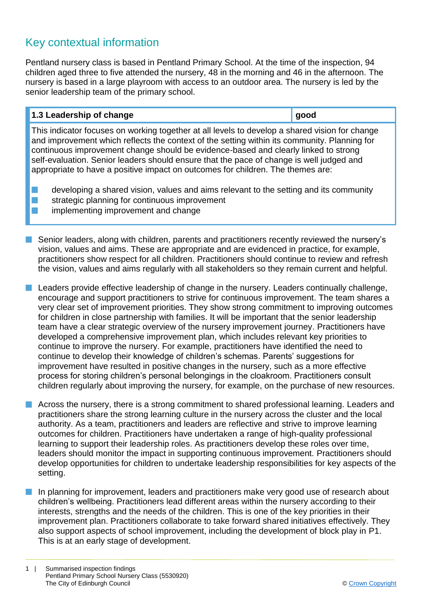### Key contextual information

Pentland nursery class is based in Pentland Primary School. At the time of the inspection, 94 children aged three to five attended the nursery, 48 in the morning and 46 in the afternoon. The nursery is based in a large playroom with access to an outdoor area. The nursery is led by the senior leadership team of the primary school.

#### **1.3 Leadership of change good**

This indicator focuses on working together at all levels to develop a shared vision for change and improvement which reflects the context of the setting within its community. Planning for continuous improvement change should be evidence-based and clearly linked to strong self-evaluation. Senior leaders should ensure that the pace of change is well judged and appropriate to have a positive impact on outcomes for children. The themes are:

 $\blacksquare$  developing a shared vision, values and aims relevant to the setting and its community  $\blacksquare$  strategic planning for continuous improvement

 $\blacksquare$  implementing improvement and change

**n** Senior leaders, along with children, parents and practitioners recently reviewed the nursery's vision, values and aims. These are appropriate and are evidenced in practice, for example, practitioners show respect for all children. Practitioners should continue to review and refresh the vision, values and aims regularly with all stakeholders so they remain current and helpful.

 $\blacksquare$  Leaders provide effective leadership of change in the nursery. Leaders continually challenge, encourage and support practitioners to strive for continuous improvement. The team shares a very clear set of improvement priorities. They show strong commitment to improving outcomes for children in close partnership with families. It will be important that the senior leadership team have a clear strategic overview of the nursery improvement journey. Practitioners have developed a comprehensive improvement plan, which includes relevant key priorities to continue to improve the nursery. For example, practitioners have identified the need to continue to develop their knowledge of children's schemas. Parents' suggestions for improvement have resulted in positive changes in the nursery, such as a more effective process for storing children's personal belongings in the cloakroom. Practitioners consult children regularly about improving the nursery, for example, on the purchase of new resources.

**n** Across the nursery, there is a strong commitment to shared professional learning. Leaders and practitioners share the strong learning culture in the nursery across the cluster and the local authority. As a team, practitioners and leaders are reflective and strive to improve learning outcomes for children. Practitioners have undertaken a range of high-quality professional learning to support their leadership roles. As practitioners develop these roles over time, leaders should monitor the impact in supporting continuous improvement. Practitioners should develop opportunities for children to undertake leadership responsibilities for key aspects of the setting.

**n** In planning for improvement, leaders and practitioners make very good use of research about children's wellbeing. Practitioners lead different areas within the nursery according to their interests, strengths and the needs of the children. This is one of the key priorities in their improvement plan. Practitioners collaborate to take forward shared initiatives effectively. They also support aspects of school improvement, including the development of block play in P1. This is at an early stage of development.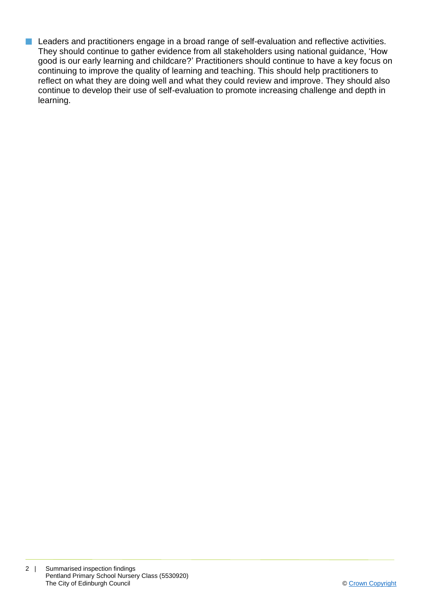**n** Leaders and practitioners engage in a broad range of self-evaluation and reflective activities. They should continue to gather evidence from all stakeholders using national guidance, 'How good is our early learning and childcare?' Practitioners should continue to have a key focus on continuing to improve the quality of learning and teaching. This should help practitioners to reflect on what they are doing well and what they could review and improve. They should also continue to develop their use of self-evaluation to promote increasing challenge and depth in learning.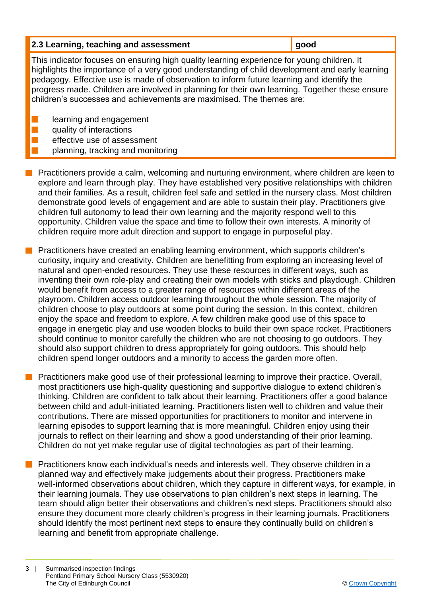| 2.3 Learning, teaching and assessment                                                                                                                                                                                                                                                                                                                                                                                                                               | good |
|---------------------------------------------------------------------------------------------------------------------------------------------------------------------------------------------------------------------------------------------------------------------------------------------------------------------------------------------------------------------------------------------------------------------------------------------------------------------|------|
| This indicator focuses on ensuring high quality learning experience for young children. It<br>highlights the importance of a very good understanding of child development and early learning<br>pedagogy. Effective use is made of observation to inform future learning and identify the<br>progress made. Children are involved in planning for their own learning. Together these ensure<br>children's successes and achievements are maximised. The themes are: |      |
| learning and engagement<br>quality of interactions                                                                                                                                                                                                                                                                                                                                                                                                                  |      |
| effective use of assessment                                                                                                                                                                                                                                                                                                                                                                                                                                         |      |

- planning, tracking and monitoring
- **n** Practitioners provide a calm, welcoming and nurturing environment, where children are keen to explore and learn through play. They have established very positive relationships with children and their families. As a result, children feel safe and settled in the nursery class. Most children demonstrate good levels of engagement and are able to sustain their play. Practitioners give children full autonomy to lead their own learning and the majority respond well to this opportunity. Children value the space and time to follow their own interests. A minority of children require more adult direction and support to engage in purposeful play.
- **n** Practitioners have created an enabling learning environment, which supports children's curiosity, inquiry and creativity. Children are benefitting from exploring an increasing level of natural and open-ended resources. They use these resources in different ways, such as inventing their own role-play and creating their own models with sticks and playdough. Children would benefit from access to a greater range of resources within different areas of the playroom. Children access outdoor learning throughout the whole session. The majority of children choose to play outdoors at some point during the session. In this context, children enjoy the space and freedom to explore. A few children make good use of this space to engage in energetic play and use wooden blocks to build their own space rocket. Practitioners should continue to monitor carefully the children who are not choosing to go outdoors. They should also support children to dress appropriately for going outdoors. This should help children spend longer outdoors and a minority to access the garden more often.
- n Practitioners make good use of their professional learning to improve their practice. Overall, most practitioners use high-quality questioning and supportive dialogue to extend children's thinking. Children are confident to talk about their learning. Practitioners offer a good balance between child and adult-initiated learning. Practitioners listen well to children and value their contributions. There are missed opportunities for practitioners to monitor and intervene in learning episodes to support learning that is more meaningful. Children enjoy using their journals to reflect on their learning and show a good understanding of their prior learning. Children do not yet make regular use of digital technologies as part of their learning.
- n Practitioners know each individual's needs and interests well. They observe children in a planned way and effectively make judgements about their progress. Practitioners make well-informed observations about children, which they capture in different ways, for example, in their learning journals. They use observations to plan children's next steps in learning. The team should align better their observations and children's next steps. Practitioners should also ensure they document more clearly children's progress in their learning journals. Practitioners should identify the most pertinent next steps to ensure they continually build on children's learning and benefit from appropriate challenge.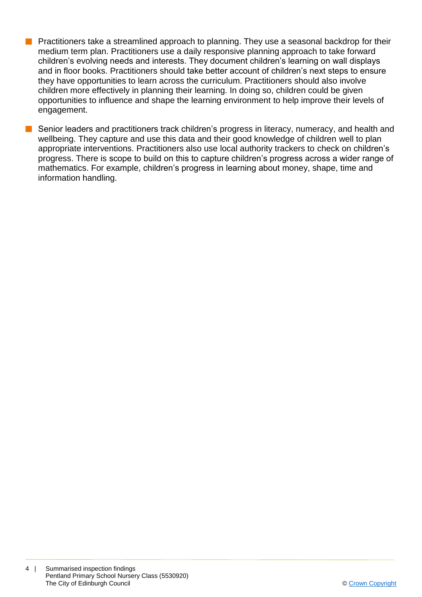- Practitioners take a streamlined approach to planning. They use a seasonal backdrop for their medium term plan. Practitioners use a daily responsive planning approach to take forward children's evolving needs and interests. They document children's learning on wall displays and in floor books. Practitioners should take better account of children's next steps to ensure they have opportunities to learn across the curriculum. Practitioners should also involve children more effectively in planning their learning. In doing so, children could be given opportunities to influence and shape the learning environment to help improve their levels of engagement.
- Senior leaders and practitioners track children's progress in literacy, numeracy, and health and wellbeing. They capture and use this data and their good knowledge of children well to plan appropriate interventions. Practitioners also use local authority trackers to check on children's progress. There is scope to build on this to capture children's progress across a wider range of mathematics. For example, children's progress in learning about money, shape, time and information handling.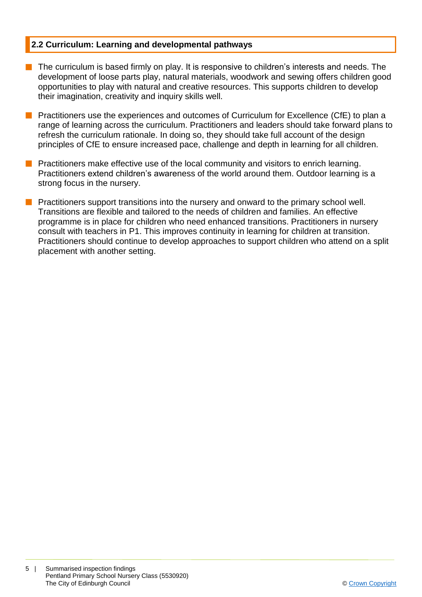#### **2.2 Curriculum: Learning and developmental pathways**

- $\blacksquare$  The curriculum is based firmly on play. It is responsive to children's interests and needs. The development of loose parts play, natural materials, woodwork and sewing offers children good opportunities to play with natural and creative resources. This supports children to develop their imagination, creativity and inquiry skills well.
- **n** Practitioners use the experiences and outcomes of Curriculum for Excellence (CfE) to plan a range of learning across the curriculum. Practitioners and leaders should take forward plans to refresh the curriculum rationale. In doing so, they should take full account of the design principles of CfE to ensure increased pace, challenge and depth in learning for all children.
- **n** Practitioners make effective use of the local community and visitors to enrich learning. Practitioners extend children's awareness of the world around them. Outdoor learning is a strong focus in the nursery.
- **n** Practitioners support transitions into the nursery and onward to the primary school well. Transitions are flexible and tailored to the needs of children and families. An effective programme is in place for children who need enhanced transitions. Practitioners in nursery consult with teachers in P1. This improves continuity in learning for children at transition. Practitioners should continue to develop approaches to support children who attend on a split placement with another setting.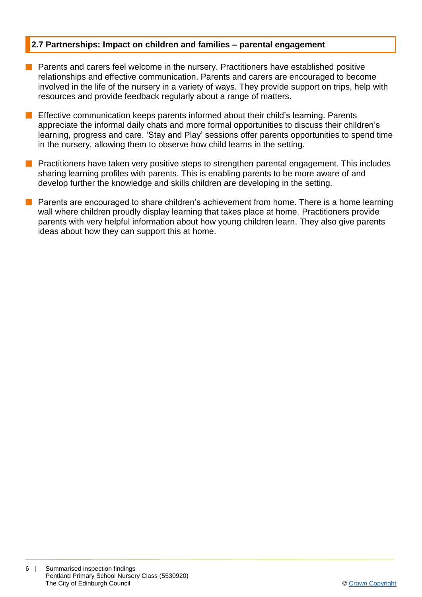#### **2.7 Partnerships: Impact on children and families – parental engagement**

- **n** Parents and carers feel welcome in the nursery. Practitioners have established positive relationships and effective communication. Parents and carers are encouraged to become involved in the life of the nursery in a variety of ways. They provide support on trips, help with resources and provide feedback regularly about a range of matters.
- **n** Effective communication keeps parents informed about their child's learning. Parents appreciate the informal daily chats and more formal opportunities to discuss their children's learning, progress and care. 'Stay and Play' sessions offer parents opportunities to spend time in the nursery, allowing them to observe how child learns in the setting.
- **n** Practitioners have taken very positive steps to strengthen parental engagement. This includes sharing learning profiles with parents. This is enabling parents to be more aware of and develop further the knowledge and skills children are developing in the setting.
- $\blacksquare$  Parents are encouraged to share children's achievement from home. There is a home learning wall where children proudly display learning that takes place at home. Practitioners provide parents with very helpful information about how young children learn. They also give parents ideas about how they can support this at home.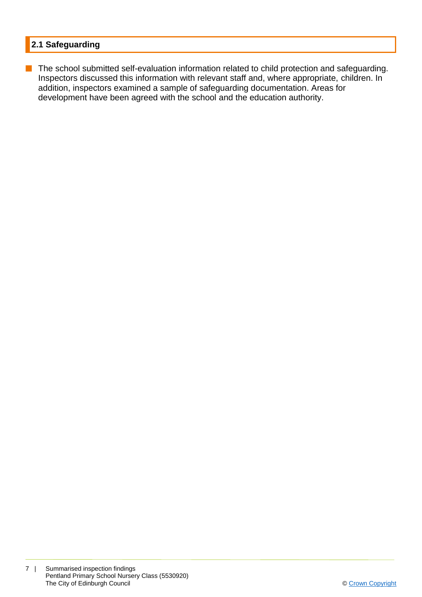#### **2.1 Safeguarding**

**n** The school submitted self-evaluation information related to child protection and safeguarding. Inspectors discussed this information with relevant staff and, where appropriate, children. In addition, inspectors examined a sample of safeguarding documentation. Areas for development have been agreed with the school and the education authority.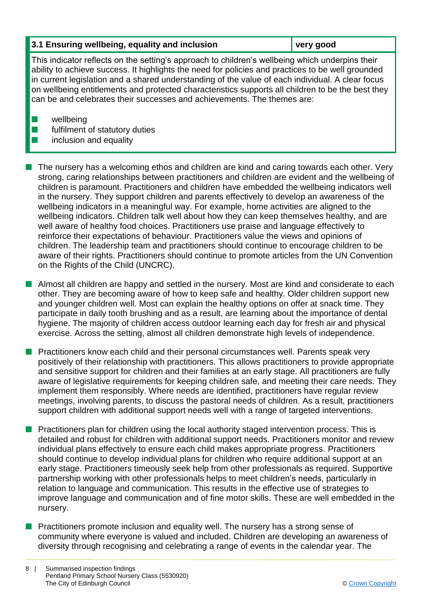#### **3.1 Ensuring wellbeing, equality and inclusion very good**

This indicator reflects on the setting's approach to children's wellbeing which underpins their ability to achieve success. It highlights the need for policies and practices to be well grounded in current legislation and a shared understanding of the value of each individual. A clear focus on wellbeing entitlements and protected characteristics supports all children to be the best they can be and celebrates their successes and achievements. The themes are:

 $\blacksquare$  wellbeing

 $\blacksquare$  fulfilment of statutory duties

#### $\blacksquare$  inclusion and equality

n The nursery has a welcoming ethos and children are kind and caring towards each other. Very strong, caring relationships between practitioners and children are evident and the wellbeing of children is paramount. Practitioners and children have embedded the wellbeing indicators well in the nursery. They support children and parents effectively to develop an awareness of the wellbeing indicators in a meaningful way. For example, home activities are aligned to the wellbeing indicators. Children talk well about how they can keep themselves healthy, and are well aware of healthy food choices. Practitioners use praise and language effectively to reinforce their expectations of behaviour. Practitioners value the views and opinions of children. The leadership team and practitioners should continue to encourage children to be aware of their rights. Practitioners should continue to promote articles from the UN Convention on the Rights of the Child (UNCRC).

**n** Almost all children are happy and settled in the nursery. Most are kind and considerate to each other. They are becoming aware of how to keep safe and healthy. Older children support new and younger children well. Most can explain the healthy options on offer at snack time. They participate in daily tooth brushing and as a result, are learning about the importance of dental hygiene. The majority of children access outdoor learning each day for fresh air and physical exercise. Across the setting, almost all children demonstrate high levels of independence.

n Practitioners know each child and their personal circumstances well. Parents speak very positively of their relationship with practitioners. This allows practitioners to provide appropriate and sensitive support for children and their families at an early stage. All practitioners are fully aware of legislative requirements for keeping children safe, and meeting their care needs. They implement them responsibly. Where needs are identified, practitioners have regular review meetings, involving parents, to discuss the pastoral needs of children. As a result, practitioners support children with additional support needs well with a range of targeted interventions.

- n Practitioners plan for children using the local authority staged intervention process. This is detailed and robust for children with additional support needs. Practitioners monitor and review individual plans effectively to ensure each child makes appropriate progress. Practitioners should continue to develop individual plans for children who require additional support at an early stage. Practitioners timeously seek help from other professionals as required. Supportive partnership working with other professionals helps to meet children's needs, particularly in relation to language and communication. This results in the effective use of strategies to improve language and communication and of fine motor skills. These are well embedded in the nursery.
- n Practitioners promote inclusion and equality well. The nursery has a strong sense of community where everyone is valued and included. Children are developing an awareness of diversity through recognising and celebrating a range of events in the calendar year. The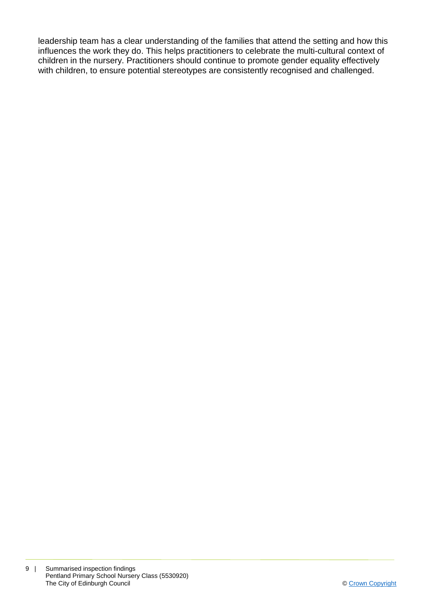leadership team has a clear understanding of the families that attend the setting and how this influences the work they do. This helps practitioners to celebrate the multi-cultural context of children in the nursery. Practitioners should continue to promote gender equality effectively with children, to ensure potential stereotypes are consistently recognised and challenged.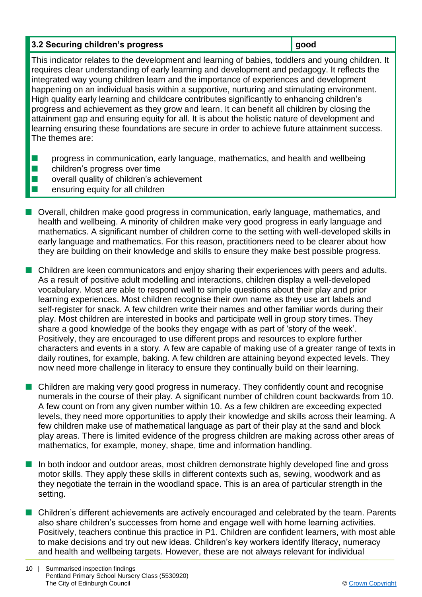#### **3.2 Securing children's progress <b>good good**

This indicator relates to the development and learning of babies, toddlers and young children. It requires clear understanding of early learning and development and pedagogy. It reflects the integrated way young children learn and the importance of experiences and development happening on an individual basis within a supportive, nurturing and stimulating environment. High quality early learning and childcare contributes significantly to enhancing children's progress and achievement as they grow and learn. It can benefit all children by closing the attainment gap and ensuring equity for all. It is about the holistic nature of development and learning ensuring these foundations are secure in order to achieve future attainment success. The themes are:

- **n** progress in communication, early language, mathematics, and health and wellbeing
- $\blacksquare$  children's progress over time
- $\blacksquare$  overall quality of children's achievement
- $\blacksquare$  ensuring equity for all children
- **n** Overall, children make good progress in communication, early language, mathematics, and health and wellbeing. A minority of children make very good progress in early language and mathematics. A significant number of children come to the setting with well-developed skills in early language and mathematics. For this reason, practitioners need to be clearer about how they are building on their knowledge and skills to ensure they make best possible progress.
- **n** Children are keen communicators and enjoy sharing their experiences with peers and adults. As a result of positive adult modelling and interactions, children display a well-developed vocabulary. Most are able to respond well to simple questions about their play and prior learning experiences. Most children recognise their own name as they use art labels and self-register for snack. A few children write their names and other familiar words during their play. Most children are interested in books and participate well in group story times. They share a good knowledge of the books they engage with as part of 'story of the week'. Positively, they are encouraged to use different props and resources to explore further characters and events in a story. A few are capable of making use of a greater range of texts in daily routines, for example, baking. A few children are attaining beyond expected levels. They now need more challenge in literacy to ensure they continually build on their learning.
- Children are making very good progress in numeracy. They confidently count and recognise numerals in the course of their play. A significant number of children count backwards from 10. A few count on from any given number within 10. As a few children are exceeding expected levels, they need more opportunities to apply their knowledge and skills across their learning. A few children make use of mathematical language as part of their play at the sand and block play areas. There is limited evidence of the progress children are making across other areas of mathematics, for example, money, shape, time and information handling.
- n In both indoor and outdoor areas, most children demonstrate highly developed fine and gross motor skills. They apply these skills in different contexts such as, sewing, woodwork and as they negotiate the terrain in the woodland space. This is an area of particular strength in the setting.
- n Children's different achievements are actively encouraged and celebrated by the team. Parents also share children's successes from home and engage well with home learning activities. Positively, teachers continue this practice in P1. Children are confident learners, with most able to make decisions and try out new ideas. Children's key workers identify literacy, numeracy and health and wellbeing targets. However, these are not always relevant for individual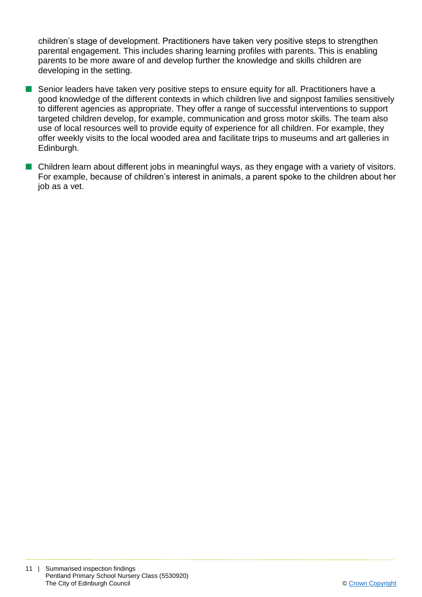children's stage of development. Practitioners have taken very positive steps to strengthen parental engagement. This includes sharing learning profiles with parents. This is enabling parents to be more aware of and develop further the knowledge and skills children are developing in the setting.

- Senior leaders have taken very positive steps to ensure equity for all. Practitioners have a good knowledge of the different contexts in which children live and signpost families sensitively to different agencies as appropriate. They offer a range of successful interventions to support targeted children develop, for example, communication and gross motor skills. The team also use of local resources well to provide equity of experience for all children. For example, they offer weekly visits to the local wooded area and facilitate trips to museums and art galleries in Edinburgh.
- n Children learn about different jobs in meaningful ways, as they engage with a variety of visitors. For example, because of children's interest in animals, a parent spoke to the children about her job as a vet.